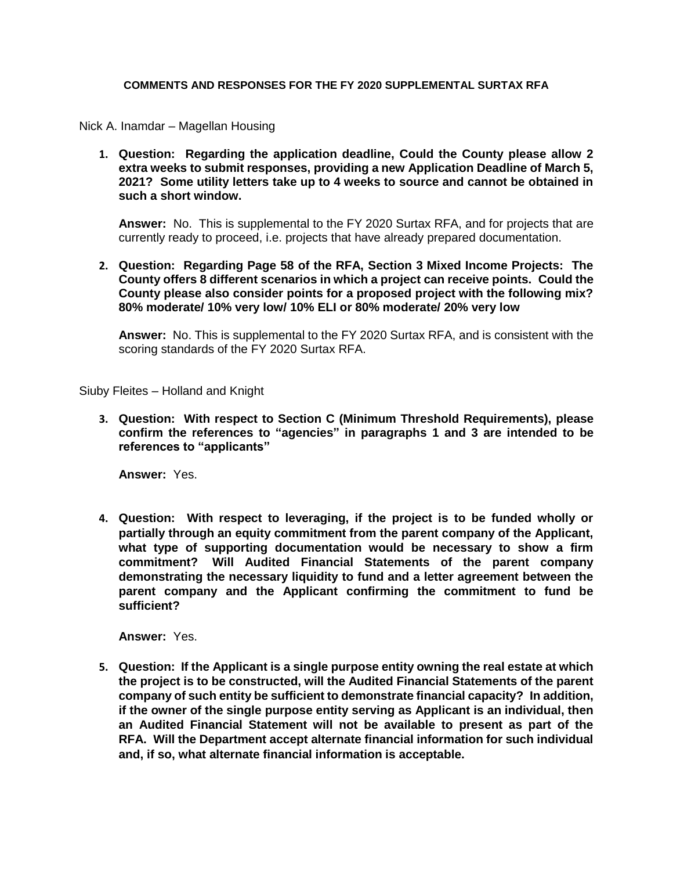### **COMMENTS AND RESPONSES FOR THE FY 2020 SUPPLEMENTAL SURTAX RFA**

Nick A. Inamdar – Magellan Housing

**1. Question: Regarding the application deadline, Could the County please allow 2 extra weeks to submit responses, providing a new Application Deadline of March 5, 2021? Some utility letters take up to 4 weeks to source and cannot be obtained in such a short window.**

**Answer:** No. This is supplemental to the FY 2020 Surtax RFA, and for projects that are currently ready to proceed, i.e. projects that have already prepared documentation.

**2. Question: Regarding Page 58 of the RFA, Section 3 Mixed Income Projects: The County offers 8 different scenarios in which a project can receive points. Could the County please also consider points for a proposed project with the following mix? 80% moderate/ 10% very low/ 10% ELI or 80% moderate/ 20% very low**

**Answer:** No. This is supplemental to the FY 2020 Surtax RFA, and is consistent with the scoring standards of the FY 2020 Surtax RFA.

Siuby Fleites – Holland and Knight

**3. Question: With respect to Section C (Minimum Threshold Requirements), please confirm the references to "agencies" in paragraphs 1 and 3 are intended to be references to "applicants"** 

**Answer:** Yes.

**4. Question: With respect to leveraging, if the project is to be funded wholly or partially through an equity commitment from the parent company of the Applicant, what type of supporting documentation would be necessary to show a firm commitment? Will Audited Financial Statements of the parent company demonstrating the necessary liquidity to fund and a letter agreement between the parent company and the Applicant confirming the commitment to fund be sufficient?**

**Answer:** Yes.

**5. Question: If the Applicant is a single purpose entity owning the real estate at which the project is to be constructed, will the Audited Financial Statements of the parent company of such entity be sufficient to demonstrate financial capacity? In addition, if the owner of the single purpose entity serving as Applicant is an individual, then an Audited Financial Statement will not be available to present as part of the RFA. Will the Department accept alternate financial information for such individual and, if so, what alternate financial information is acceptable.**